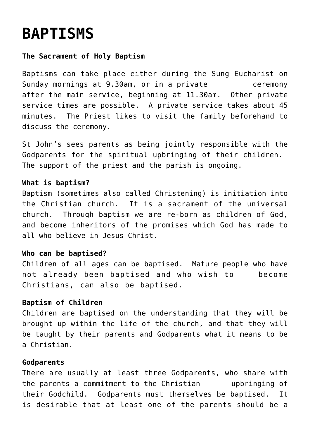# **[BAPTISMS](http://stjohnsadelaide.org.au/baptisms/)**

### **The Sacrament of Holy Baptism**

Baptisms can take place either during the Sung Eucharist on Sunday mornings at 9.30am, or in a private example ceremony after the main service, beginning at 11.30am. Other private service times are possible. A private service takes about 45 minutes. The Priest likes to visit the family beforehand to discuss the ceremony.

St John's sees parents as being jointly responsible with the Godparents for the spiritual upbringing of their children. The support of the priest and the parish is ongoing.

#### **What is baptism?**

Baptism (sometimes also called Christening) is initiation into the Christian church. It is a sacrament of the universal church. Through baptism we are re-born as children of God, and become inheritors of the promises which God has made to all who believe in Jesus Christ.

#### **Who can be baptised?**

Children of all ages can be baptised. Mature people who have not already been baptised and who wish to become Christians, can also be baptised.

#### **Baptism of Children**

Children are baptised on the understanding that they will be brought up within the life of the church, and that they will be taught by their parents and Godparents what it means to be a Christian.

#### **Godparents**

There are usually at least three Godparents, who share with the parents a commitment to the Christian upbringing of their Godchild. Godparents must themselves be baptised. It is desirable that at least one of the parents should be a